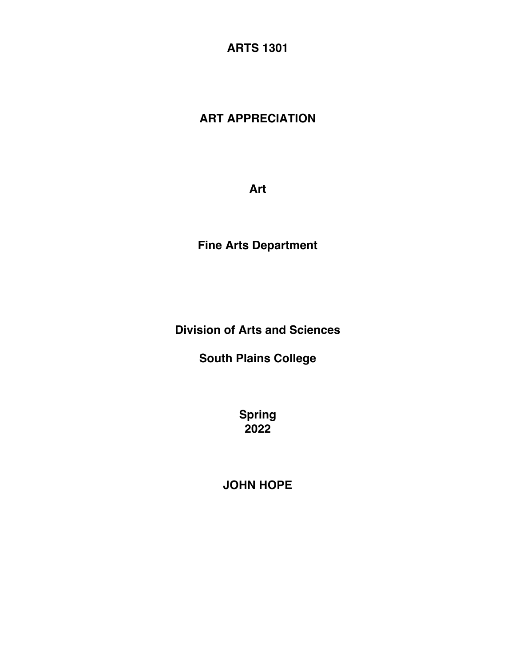**ARTS 1301**

# **ART APPRECIATION**

**Art**

**Fine Arts Department**

**Division of Arts and Sciences**

**South Plains College**

**Spring 2022**

**JOHN HOPE**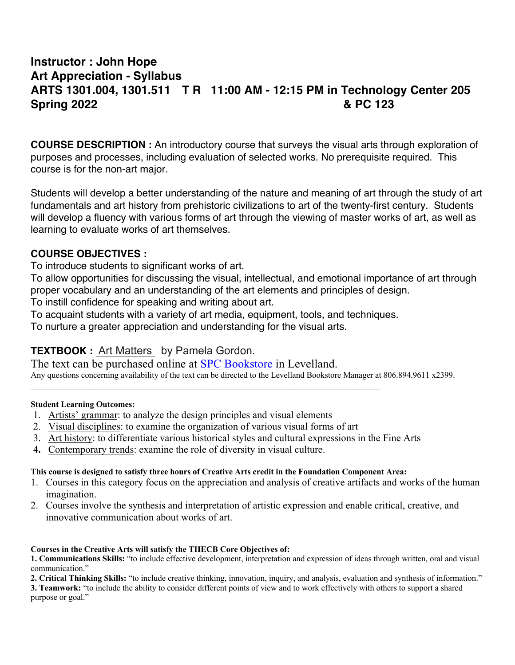# **Instructor : John Hope Art Appreciation - Syllabus ARTS 1301.004, 1301.511 T R 11:00 AM - 12:15 PM in Technology Center 205 Spring 2022 & PC 123**

**COURSE DESCRIPTION :** An introductory course that surveys the visual arts through exploration of purposes and processes, including evaluation of selected works. No prerequisite required. This course is for the non-art major.

Students will develop a better understanding of the nature and meaning of art through the study of art fundamentals and art history from prehistoric civilizations to art of the twenty-first century. Students will develop a fluency with various forms of art through the viewing of master works of art, as well as learning to evaluate works of art themselves.

# **COURSE OBJECTIVES :**

To introduce students to significant works of art.

To allow opportunities for discussing the visual, intellectual, and emotional importance of art through proper vocabulary and an understanding of the art elements and principles of design.

To instill confidence for speaking and writing about art.

To acquaint students with a variety of art media, equipment, tools, and techniques.

To nurture a greater appreciation and understanding for the visual arts.

# **TEXTBOOK :** Art Matters by Pamela Gordon.

The text can be purchased online at SPC Bookstore in Levelland. Any questions concerning availability of the text can be directed to the Levelland Bookstore Manager at 806.894.9611 x2399.

#### **Student Learning Outcomes:**

- 1. Artists' grammar: to analyze the design principles and visual elements
- 2. Visual disciplines: to examine the organization of various visual forms of art
- 3. Art history: to differentiate various historical styles and cultural expressions in the Fine Arts
- **4.** Contemporary trends: examine the role of diversity in visual culture.

#### **This course is designed to satisfy three hours of Creative Arts credit in the Foundation Component Area:**

- 1. Courses in this category focus on the appreciation and analysis of creative artifacts and works of the human imagination.
- 2. Courses involve the synthesis and interpretation of artistic expression and enable critical, creative, and innovative communication about works of art.

#### **Courses in the Creative Arts will satisfy the THECB Core Objectives of:**

**1. Communications Skills:** "to include effective development, interpretation and expression of ideas through written, oral and visual communication."

**2. Critical Thinking Skills:** "to include creative thinking, innovation, inquiry, and analysis, evaluation and synthesis of information." **3. Teamwork:** "to include the ability to consider different points of view and to work effectively with others to support a shared purpose or goal."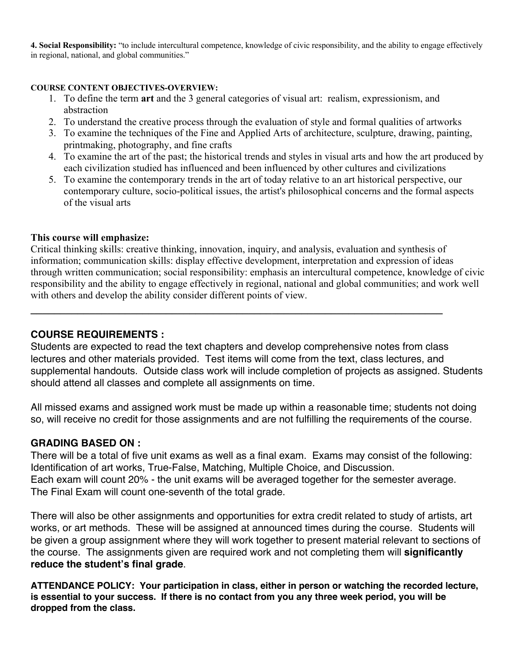**4. Social Responsibility:** "to include intercultural competence, knowledge of civic responsibility, and the ability to engage effectively in regional, national, and global communities."

#### **COURSE CONTENT OBJECTIVES-OVERVIEW:**

- 1. To define the term **art** and the 3 general categories of visual art: realism, expressionism, and abstraction
- 2. To understand the creative process through the evaluation of style and formal qualities of artworks
- 3. To examine the techniques of the Fine and Applied Arts of architecture, sculpture, drawing, painting, printmaking, photography, and fine crafts
- 4. To examine the art of the past; the historical trends and styles in visual arts and how the art produced by each civilization studied has influenced and been influenced by other cultures and civilizations
- 5. To examine the contemporary trends in the art of today relative to an art historical perspective, our contemporary culture, socio-political issues, the artist's philosophical concerns and the formal aspects of the visual arts

#### **This course will emphasize:**

Critical thinking skills: creative thinking, innovation, inquiry, and analysis, evaluation and synthesis of information; communication skills: display effective development, interpretation and expression of ideas through written communication; social responsibility: emphasis an intercultural competence, knowledge of civic responsibility and the ability to engage effectively in regional, national and global communities; and work well with others and develop the ability consider different points of view.

#### **COURSE REQUIREMENTS :**

Students are expected to read the text chapters and develop comprehensive notes from class lectures and other materials provided. Test items will come from the text, class lectures, and supplemental handouts. Outside class work will include completion of projects as assigned. Students should attend all classes and complete all assignments on time.

All missed exams and assigned work must be made up within a reasonable time; students not doing so, will receive no credit for those assignments and are not fulfilling the requirements of the course.

#### **GRADING BASED ON :**

There will be a total of five unit exams as well as a final exam. Exams may consist of the following: Identification of art works, True-False, Matching, Multiple Choice, and Discussion. Each exam will count 20% - the unit exams will be averaged together for the semester average. The Final Exam will count one-seventh of the total grade.

There will also be other assignments and opportunities for extra credit related to study of artists, art works, or art methods. These will be assigned at announced times during the course. Students will be given a group assignment where they will work together to present material relevant to sections of the course. The assignments given are required work and not completing them will **significantly reduce the student's final grade**.

**ATTENDANCE POLICY: Your participation in class, either in person or watching the recorded lecture, is essential to your success. If there is no contact from you any three week period, you will be dropped from the class.**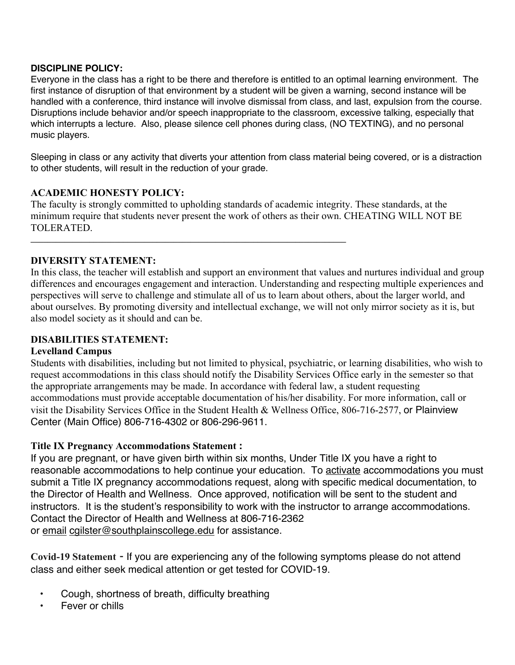## **DISCIPLINE POLICY:**

Everyone in the class has a right to be there and therefore is entitled to an optimal learning environment. The first instance of disruption of that environment by a student will be given a warning, second instance will be handled with a conference, third instance will involve dismissal from class, and last, expulsion from the course. Disruptions include behavior and/or speech inappropriate to the classroom, excessive talking, especially that which interrupts a lecture. Also, please silence cell phones during class, (NO TEXTING), and no personal music players.

Sleeping in class or any activity that diverts your attention from class material being covered, or is a distraction to other students, will result in the reduction of your grade.

# **ACADEMIC HONESTY POLICY:**

The faculty is strongly committed to upholding standards of academic integrity. These standards, at the minimum require that students never present the work of others as their own. CHEATING WILL NOT BE TOLERATED.

**\_\_\_\_\_\_\_\_\_\_\_\_\_\_\_\_\_\_\_\_\_\_\_\_\_\_\_\_\_\_\_\_\_\_\_\_\_\_\_\_\_\_\_\_\_\_\_\_\_\_\_\_\_\_\_\_\_\_\_\_\_\_\_\_\_\_\_\_\_\_\_\_\_\_\_**

## **DIVERSITY STATEMENT:**

In this class, the teacher will establish and support an environment that values and nurtures individual and group differences and encourages engagement and interaction. Understanding and respecting multiple experiences and perspectives will serve to challenge and stimulate all of us to learn about others, about the larger world, and about ourselves. By promoting diversity and intellectual exchange, we will not only mirror society as it is, but also model society as it should and can be.

# **DISABILITIES STATEMENT:**

## **Levelland Campus**

Students with disabilities, including but not limited to physical, psychiatric, or learning disabilities, who wish to request accommodations in this class should notify the Disability Services Office early in the semester so that the appropriate arrangements may be made. In accordance with federal law, a student requesting accommodations must provide acceptable documentation of his/her disability. For more information, call or visit the Disability Services Office in the Student Health & Wellness Office, 806-716-2577, or Plainview Center (Main Office) 806-716-4302 or 806-296-9611.

## **Title IX Pregnancy Accommodations Statement :**

If you are pregnant, or have given birth within six months, Under Title IX you have a right to reasonable accommodations to help continue your education. To activate accommodations you must submit a Title IX pregnancy accommodations request, along with specific medical documentation, to the Director of Health and Wellness. Once approved, notification will be sent to the student and instructors. It is the student's responsibility to work with the instructor to arrange accommodations. Contact the Director of Health and Wellness at 806-716-2362 or email cgilster@southplainscollege.edu for assistance.

**Covid-19 Statement** - If you are experiencing any of the following symptoms please do not attend class and either seek medical attention or get tested for COVID-19.

- Cough, shortness of breath, difficulty breathing
- Fever or chills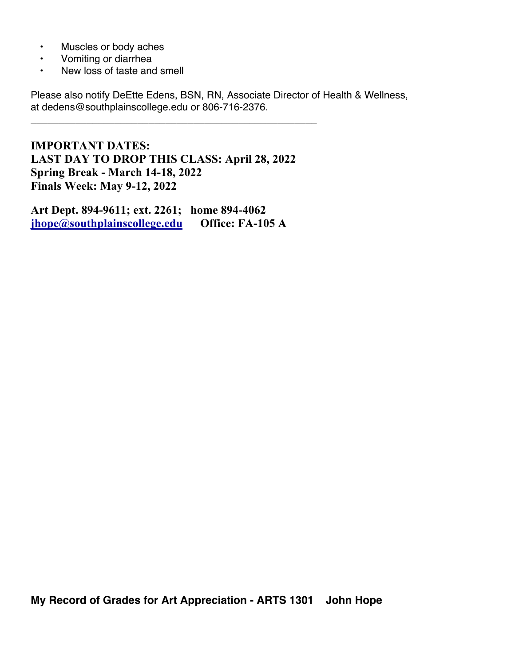- Muscles or body aches
- Vomiting or diarrhea
- New loss of taste and smell

Please also notify DeEtte Edens, BSN, RN, Associate Director of Health & Wellness, at dedens@southplainscollege.edu or 806-716-2376.

**IMPORTANT DATES: LAST DAY TO DROP THIS CLASS: April 28, 2022 Spring Break - March 14-18, 2022 Finals Week: May 9-12, 2022**

\_\_\_\_\_\_\_\_\_\_\_\_\_\_\_\_\_\_\_\_\_\_\_\_\_\_\_\_\_\_\_\_\_\_\_\_\_\_\_\_\_\_\_\_\_\_\_\_\_\_\_

**Art Dept. 894-9611; ext. 2261; home 894-4062 jhope@southplainscollege.edu Office: FA-105 A**